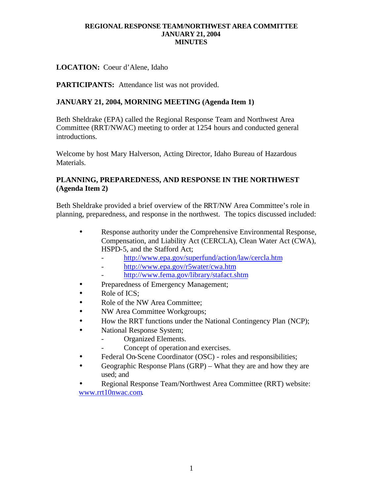## **LOCATION:** Coeur d'Alene, Idaho

### **PARTICIPANTS:** Attendance list was not provided.

### **JANUARY 21, 2004, MORNING MEETING (Agenda Item 1)**

Beth Sheldrake (EPA) called the Regional Response Team and Northwest Area Committee (RRT/NWAC) meeting to order at 1254 hours and conducted general introductions.

Welcome by host Mary Halverson, Acting Director, Idaho Bureau of Hazardous Materials.

### **PLANNING, PREPAREDNESS, AND RESPONSE IN THE NORTHWEST (Agenda Item 2)**

Beth Sheldrake provided a brief overview of the RRT/NW Area Committee's role in planning, preparedness, and response in the northwest. The topics discussed included:

- Response authority under the Comprehensive Environmental Response, Compensation, and Liability Act (CERCLA), Clean Water Act (CWA), HSPD-5, and the Stafford Act;
	- http://www.epa.gov/superfund/action/law/cercla.htm
	- http://www.epa.gov/r5water/cwa.htm
		- http://www.fema.gov/library/stafact.shtm
- Preparedness of Emergency Management;
- Role of ICS:
- Role of the NW Area Committee;
- NW Area Committee Workgroups;
- How the RRT functions under the National Contingency Plan (NCP);
- National Response System;
	- Organized Elements.
	- Concept of operation and exercises.
- Federal On-Scene Coordinator (OSC) roles and responsibilities;
- Geographic Response Plans (GRP) What they are and how they are used; and
- Regional Response Team/Northwest Area Committee (RRT) website: www.rrt10nwac.com.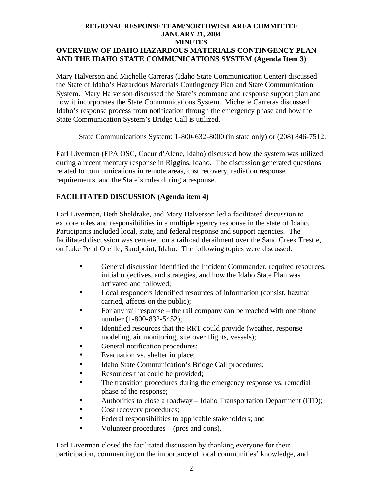#### **REGIONAL RESPONSE TEAM/NORTHWEST AREA COMMITTEE JANUARY 21, 2004 MINUTES OVERVIEW OF IDAHO HAZARDOUS MATERIALS CONTINGENCY PLAN AND THE IDAHO STATE COMMUNICATIONS SYSTEM (Agenda Item 3)**

Mary Halverson and Michelle Carreras (Idaho State Communication Center) discussed the State of Idaho's Hazardous Materials Contingency Plan and State Communication System. Mary Halverson discussed the State's command and response support plan and how it incorporates the State Communications System. Michelle Carreras discussed Idaho's response process from notification through the emergency phase and how the State Communication System's Bridge Call is utilized.

State Communications System: 1-800-632-8000 (in state only) or (208) 846-7512.

Earl Liverman (EPA OSC, Coeur d'Alene, Idaho) discussed how the system was utilized during a recent mercury response in Riggins, Idaho. The discussion generated questions related to communications in remote areas, cost recovery, radiation response requirements, and the State's roles during a response.

## **FACILITATED DISCUSSION (Agenda item 4)**

Earl Liverman, Beth Sheldrake, and Mary Halverson led a facilitated discussion to explore roles and responsibilities in a multiple agency response in the state of Idaho. Participants included local, state, and federal response and support agencies. The facilitated discussion was centered on a railroad derailment over the Sand Creek Trestle, on Lake Pend Oreille, Sandpoint, Idaho. The following topics were discussed.

- General discussion identified the Incident Commander, required resources, initial objectives, and strategies, and how the Idaho State Plan was activated and followed;
- Local responders identified resources of information (consist, hazmat carried, affects on the public);
- For any rail response the rail company can be reached with one phone number (1-800-832-5452);
- Identified resources that the RRT could provide (weather, response modeling, air monitoring, site over flights, vessels);
- General notification procedures;
- Evacuation vs. shelter in place;
- Idaho State Communication's Bridge Call procedures;
- Resources that could be provided;
- The transition procedures during the emergency response vs. remedial phase of the response;
- Authorities to close a roadway Idaho Transportation Department (ITD);
- Cost recovery procedures;
- Federal responsibilities to applicable stakeholders; and
- Volunteer procedures (pros and cons).

Earl Liverman closed the facilitated discussion by thanking everyone for their participation, commenting on the importance of local communities' knowledge, and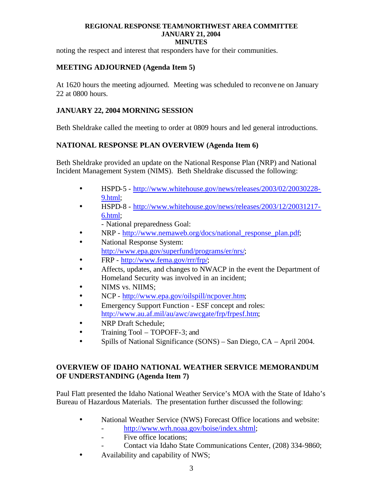noting the respect and interest that responders have for their communities.

### **MEETING ADJOURNED (Agenda Item 5)**

At 1620 hours the meeting adjourned. Meeting was scheduled to reconvene on January 22 at 0800 hours.

### **JANUARY 22, 2004 MORNING SESSION**

Beth Sheldrake called the meeting to order at 0809 hours and led general introductions.

### **NATIONAL RESPONSE PLAN OVERVIEW (Agenda Item 6)**

Beth Sheldrake provided an update on the National Response Plan (NRP) and National Incident Management System (NIMS). Beth Sheldrake discussed the following:

- HSPD-5 http://www.whitehouse.gov/news/releases/2003/02/20030228- 9.html;
- HSPD-8 http://www.whitehouse.gov/news/releases/2003/12/20031217- 6.html;

- National preparedness Goal:

- NRP http://www.nemaweb.org/docs/national\_response\_plan.pdf;
- National Response System: http://www.epa.gov/superfund/programs/er/nrs/;
- FRP http://www.fema.gov/rrr/frp/;
- Affects, updates, and changes to NWACP in the event the Department of Homeland Security was involved in an incident;
- NIMS vs. NIIMS:
- NCP http://www.epa.gov/oilspill/ncpover.htm;
- Emergency Support Function ESF concept and roles: http://www.au.af.mil/au/awc/awcgate/frp/frpesf.htm;
- NRP Draft Schedule;
- Training Tool TOPOFF-3; and
- Spills of National Significance (SONS) San Diego, CA April 2004.

## **OVERVIEW OF IDAHO NATIONAL WEATHER SERVICE MEMORANDUM OF UNDERSTANDING (Agenda Item 7)**

Paul Flatt presented the Idaho National Weather Service's MOA with the State of Idaho's Bureau of Hazardous Materials. The presentation further discussed the following:

- National Weather Service (NWS) Forecast Office locations and website:
	- http://www.wrh.noaa.gov/boise/index.shtml;
	- Five office locations:
	- Contact via Idaho State Communications Center, (208) 334-9860;
- Availability and capability of NWS: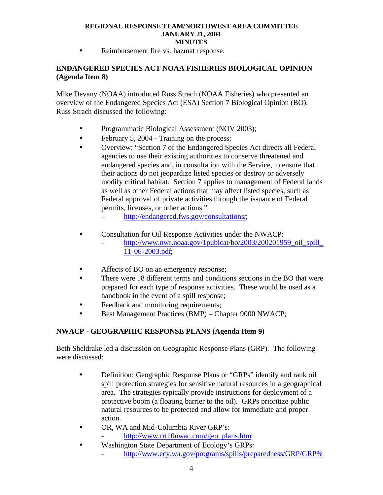• Reimbursement fire vs. hazmat response.

## **ENDANGERED SPECIES ACT NOAA FISHERIES BIOLOGICAL OPINION (Agenda Item 8)**

Mike Devany (NOAA) introduced Russ Strach (NOAA Fisheries) who presented an overview of the Endangered Species Act (ESA) Section 7 Biological Opinion (BO). Russ Strach discussed the following:

- Programmatic Biological Assessment (NOV 2003);
- February 5, 2004 Training on the process;
- Overview: "Section 7 of the Endangered Species Act directs all Federal agencies to use their existing authorities to conserve threatened and endangered species and, in consultation with the Service, to ensure that their actions do not jeopardize listed species or destroy or adversely modify critical habitat. Section 7 applies to management of Federal lands as well as other Federal actions that may affect listed species, such as Federal approval of private activities through the issuance of Federal permits, licenses, or other actions."
	- http://endangered.fws.gov/consultations/;
- Consultation for Oil Response Activities under the NWACP:
	- http://www.nwr.noaa.gov/1publcat/bo/2003/200201959\_oil\_spill\_ 11-06-2003.pdf;
- Affects of BO on an emergency response;
- There were 18 different terms and conditions sections in the BO that were prepared for each type of response activities. These would be used as a handbook in the event of a spill response;
- Feedback and monitoring requirements;
- Best Management Practices (BMP) Chapter 9000 NWACP;

# **NWACP - GEOGRAPHIC RESPONSE PLANS (Agenda Item 9)**

Beth Sheldrake led a discussion on Geographic Response Plans (GRP). The following were discussed:

- Definition: Geographic Response Plans or "GRPs" identify and rank oil spill protection strategies for sensitive natural resources in a geographical area. The strategies typically provide instructions for deployment of a protective boom (a floating barrier to the oil). GRPs prioritize public natural resources to be protected and allow for immediate and proper action.
- OR, WA and Mid-Columbia River GRP's: - http://www.rrt10nwac.com/geo\_plans.htm;
- Washington State Department of Ecology's GRPs:
	- http://www.ecy.wa.gov/programs/spills/preparedness/GRP/GRP%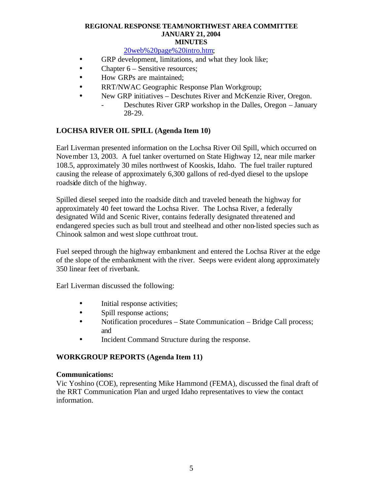### 20web%20page%20intro.htm;

- GRP development, limitations, and what they look like;
- Chapter 6 Sensitive resources;
- How GRPs are maintained;
- RRT/NWAC Geographic Response Plan Workgroup;
- New GRP initiatives Deschutes River and McKenzie River, Oregon.
	- Deschutes River GRP workshop in the Dalles, Oregon January 28-29.

# **LOCHSA RIVER OIL SPILL (Agenda Item 10)**

Earl Liverman presented information on the Lochsa River Oil Spill, which occurred on November 13, 2003. A fuel tanker overturned on State Highway 12, near mile marker 108.5, approximately 30 miles northwest of Kooskis, Idaho. The fuel trailer ruptured causing the release of approximately 6,300 gallons of red-dyed diesel to the upslope roadside ditch of the highway.

Spilled diesel seeped into the roadside ditch and traveled beneath the highway for approximately 40 feet toward the Lochsa River. The Lochsa River, a federally designated Wild and Scenic River, contains federally designated threatened and endangered species such as bull trout and steelhead and other non-listed species such as Chinook salmon and west slope cutthroat trout.

Fuel seeped through the highway embankment and entered the Lochsa River at the edge of the slope of the embankment with the river. Seeps were evident along approximately 350 linear feet of riverbank.

Earl Liverman discussed the following:

- Initial response activities;
- Spill response actions;
- Notification procedures State Communication Bridge Call process; and
- Incident Command Structure during the response.

## **WORKGROUP REPORTS (Agenda Item 11)**

### **Communications:**

Vic Yoshino (COE), representing Mike Hammond (FEMA), discussed the final draft of the RRT Communication Plan and urged Idaho representatives to view the contact information.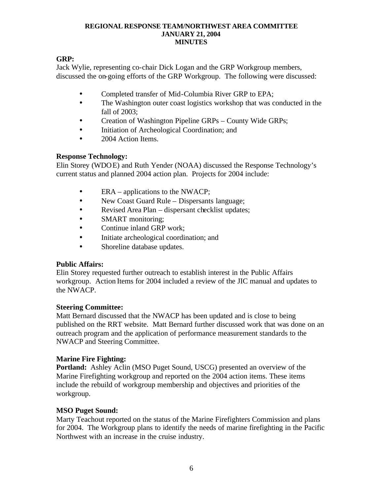## **GRP:**

Jack Wylie, representing co-chair Dick Logan and the GRP Workgroup members, discussed the on-going efforts of the GRP Workgroup. The following were discussed:

- Completed transfer of Mid-Columbia River GRP to EPA;
- The Washington outer coast logistics workshop that was conducted in the fall of 2003;
- Creation of Washington Pipeline GRPs County Wide GRPs;
- Initiation of Archeological Coordination; and
- 2004 Action Items.

## **Response Technology:**

Elin Storey (WDOE) and Ruth Yender (NOAA) discussed the Response Technology's current status and planned 2004 action plan. Projects for 2004 include:

- ERA applications to the NWACP;
- New Coast Guard Rule Dispersants language;
- Revised Area Plan dispersant checklist updates;
- SMART monitoring;
- Continue inland GRP work:
- Initiate archeological coordination; and
- Shoreline database updates.

## **Public Affairs:**

Elin Storey requested further outreach to establish interest in the Public Affairs workgroup. Action Items for 2004 included a review of the JIC manual and updates to the NWACP.

## **Steering Committee:**

Matt Bernard discussed that the NWACP has been updated and is close to being published on the RRT website. Matt Bernard further discussed work that was done on an outreach program and the application of performance measurement standards to the NWACP and Steering Committee.

## **Marine Fire Fighting:**

**Portland:** Ashley Aclin (MSO Puget Sound, USCG) presented an overview of the Marine Firefighting workgroup and reported on the 2004 action items. These items include the rebuild of workgroup membership and objectives and priorities of the workgroup.

## **MSO Puget Sound:**

Marty Teachout reported on the status of the Marine Firefighters Commission and plans for 2004. The Workgroup plans to identify the needs of marine firefighting in the Pacific Northwest with an increase in the cruise industry.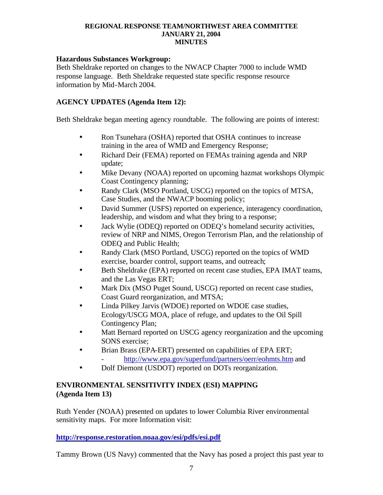### **Hazardous Substances Workgroup:**

Beth Sheldrake reported on changes to the NWACP Chapter 7000 to include WMD response language. Beth Sheldrake requested state specific response resource information by Mid-March 2004.

## **AGENCY UPDATES (Agenda Item 12):**

Beth Sheldrake began meeting agency roundtable. The following are points of interest:

- Ron Tsunehara (OSHA) reported that OSHA continues to increase training in the area of WMD and Emergency Response;
- Richard Deir (FEMA) reported on FEMAs training agenda and NRP update;
- Mike Devany (NOAA) reported on upcoming hazmat workshops Olympic Coast Contingency planning;
- Randy Clark (MSO Portland, USCG) reported on the topics of MTSA, Case Studies, and the NWACP booming policy;
- David Summer (USFS) reported on experience, interagency coordination, leadership, and wisdom and what they bring to a response;
- Jack Wylie (ODEQ) reported on ODEQ's homeland security activities, review of NRP and NIMS, Oregon Terrorism Plan, and the relationship of ODEQ and Public Health;
- Randy Clark (MSO Portland, USCG) reported on the topics of WMD exercise, boarder control, support teams, and outreach;
- Beth Sheldrake (EPA) reported on recent case studies, EPA IMAT teams, and the Las Vegas ERT;
- Mark Dix (MSO Puget Sound, USCG) reported on recent case studies, Coast Guard reorganization, and MTSA;
- Linda Pilkey Jarvis (WDOE) reported on WDOE case studies, Ecology/USCG MOA, place of refuge, and updates to the Oil Spill Contingency Plan;
- Matt Bernard reported on USCG agency reorganization and the upcoming SONS exercise;
- Brian Brass (EPA-ERT) presented on capabilities of EPA ERT; - http://www.epa.gov/superfund/partners/oerr/eohmts.htm and
- Dolf Diemont (USDOT) reported on DOTs reorganization.

## **ENVIRONMENTAL SENSITIVITY INDEX (ESI) MAPPING (Agenda Item 13)**

Ruth Yender (NOAA) presented on updates to lower Columbia River environmental sensitivity maps. For more Information visit:

## **http://response.restoration.noaa.gov/esi/pdfs/esi.pdf**

Tammy Brown (US Navy) commented that the Navy has posed a project this past year to